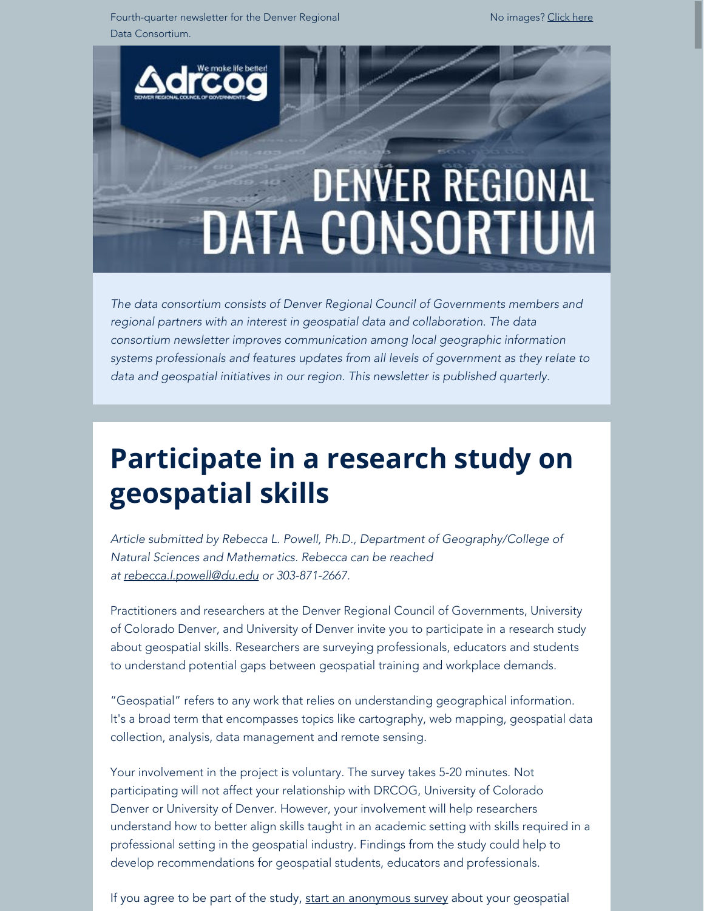Fourth-quarter newsletter for the Denver Regional Data Consortium.

No images? [Click here](https://drcog.createsend1.com/t/d-e-ctkliky-l-jy/)



*The data consortium consists of Denver Regional Council of Governments members and regional partners with an interest in geospatial data and collaboration. The data consortium newsletter improves communication among local geographic information systems professionals and features updates from all levels of government as they relate to data and geospatial initiatives in our region. This newsletter is published quarterly.*

## **Participate in a research study on geospatial skills**

*Article submitted by Rebecca L. Powell, Ph.D., Department of Geography/College of Natural Sciences and Mathematics. Rebecca can be reached at [rebecca.l.powell@du.edu](mailto:rebecca.l.powell@du.edu) or 303-871-2667.*

Practitioners and researchers at the Denver Regional Council of Governments, University of Colorado Denver, and University of Denver invite you to participate in a research study about geospatial skills. Researchers are surveying professionals, educators and students to understand potential gaps between geospatial training and workplace demands.

"Geospatial" refers to any work that relies on understanding geographical information. It's a broad term that encompasses topics like cartography, web mapping, geospatial data collection, analysis, data management and remote sensing.

Your involvement in the project is voluntary. The survey takes 5-20 minutes. Not participating will not affect your relationship with DRCOG, University of Colorado Denver or University of Denver. However, your involvement will help researchers understand how to better align skills taught in an academic setting with skills required in a professional setting in the geospatial industry. Findings from the study could help to develop recommendations for geospatial students, educators and professionals.

If you agree to be part of the study, start an [anonymous survey](https://drcog.createsend1.com/t/d-l-ctkliky-l-y/) about your geospatial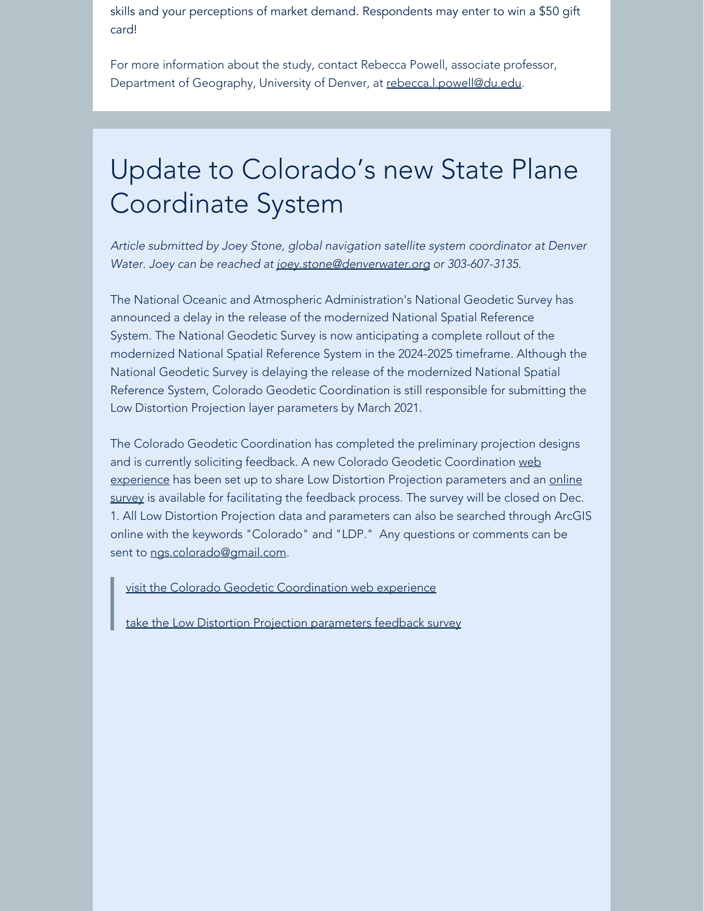skills and your perceptions of market demand. Respondents may enter to win a \$50 gift card!

For more information about the study, contact Rebecca Powell, associate professor, Department of Geography, University of Denver, at [rebecca.l.powell@du.edu](mailto:Rebecca.L.Powell@du.edu).

## Update to Colorado's new State Plane Coordinate System

*Article submitted by Joey Stone, global navigation satellite system coordinator at Denver Water. Joey can be reached at [joey.stone@denverwater.org](mailto:joey.stone@denverwater.org) or 303-607-3135.*

The National Oceanic and Atmospheric Administration's National Geodetic Survey has announced a delay in the release of the modernized National Spatial Reference System. The National Geodetic Survey is now anticipating a complete rollout of the modernized National Spatial Reference System in the 2024-2025 timeframe. Although the National Geodetic Survey is delaying the release of the modernized National Spatial Reference System, Colorado Geodetic Coordination is still responsible for submitting the Low Distortion Projection layer parameters by March 2021.

The Colorado Geodetic Coordination has completed the preliminary projection designs and is currently soliciting feedback. A new Colorado Geodetic Coordination [web](https://drcog.createsend1.com/t/d-l-ctkliky-l-j/) [experience](https://drcog.createsend1.com/t/d-l-ctkliky-l-j/) has been set up to share Low Distortion Projection parameters and an [online](https://drcog.createsend1.com/t/d-l-ctkliky-l-t/) [survey](https://drcog.createsend1.com/t/d-l-ctkliky-l-t/) is available for facilitating the feedback process. The survey will be closed on Dec. 1. All Low Distortion Projection data and parameters can also be searched through ArcGIS online with the keywords "Colorado" and "LDP." Any questions or comments can be sent to [ngs.colorado@gmail.com](mailto:ngs.colorado@gmail.com).

[visit the Colorado Geodetic Coordination web experience](https://drcog.createsend1.com/t/d-l-ctkliky-l-i/)

[take the Low Distortion Projection parameters feedback survey](https://drcog.createsend1.com/t/d-l-ctkliky-l-d/)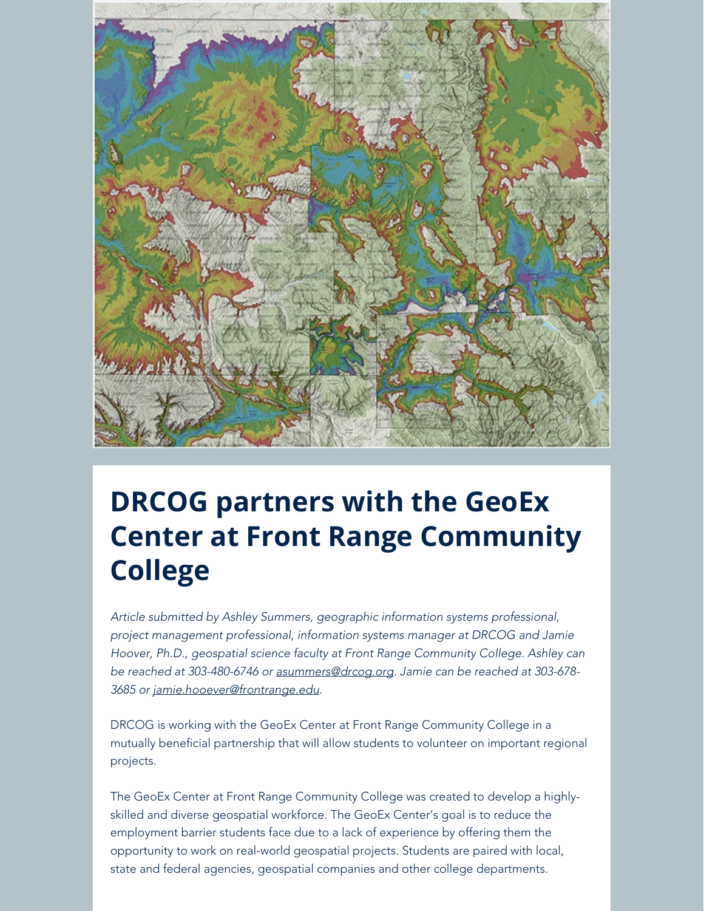

## **DRCOG partners with the GeoEx Center at Front Range Community College**

*Article submitted by Ashley Summers, geographic information systems professional, project management professional, information systems manager at DRCOG and Jamie Hoover, Ph.D., geospatial science faculty at Front Range Community College. Ashley can be reached at 303-480-6746 or [asummers@drcog.org](mailto:asummers@drcog.org). Jamie can be reached at 303-678- 3685 or [jamie.hooever@frontrange.edu.](mailto:jamie.hooever@frontrange.edu)*

DRCOG is working with the GeoEx Center at Front Range Community College in a mutually beneficial partnership that will allow students to volunteer on important regional projects.

The GeoEx Center at Front Range Community College was created to develop a highlyskilled and diverse geospatial workforce. The GeoEx Center's goal is to reduce the employment barrier students face due to a lack of experience by offering them the opportunity to work on real-world geospatial projects. Students are paired with local, state and federal agencies, geospatial companies and other college departments.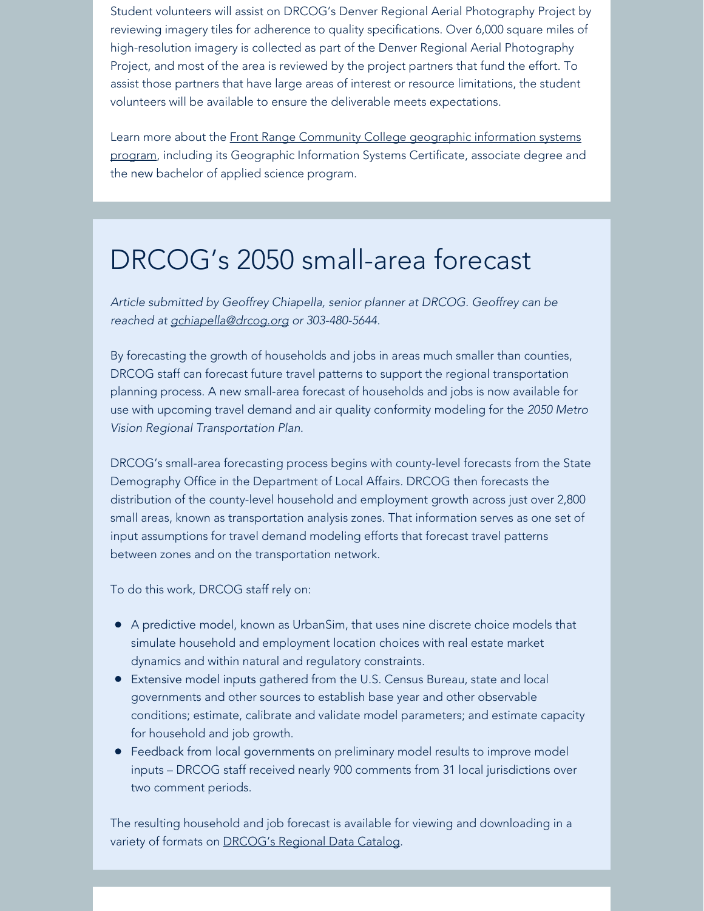Student volunteers will assist on DRCOG's Denver Regional Aerial Photography Project by reviewing imagery tiles for adherence to quality specifications. Over 6,000 square miles of high-resolution imagery is collected as part of the Denver Regional Aerial Photography Project, and most of the area is reviewed by the project partners that fund the effort. To assist those partners that have large areas of interest or resource limitations, the student volunteers will be available to ensure the deliverable meets expectations.

Learn more about the [Front Range Community College](https://drcog.createsend1.com/t/d-l-ctkliky-l-h/) geographic information systems [program](https://drcog.createsend1.com/t/d-l-ctkliky-l-h/), including its Geographic Information Systems Certificate, associate degree and the new bachelor of applied science program.

### DRCOG's 2050 small-area forecast

*Article submitted by Geoffrey Chiapella, senior planner at DRCOG. Geoffrey can be reached at [gchiapella@drcog.org](mailto:gchiapella@drcog.org) or 303-480-5644.*

By forecasting the growth of households and jobs in areas much smaller than counties, DRCOG staff can forecast future travel patterns to support the regional transportation planning process. A new small-area forecast of households and jobs is now available for use with upcoming travel demand and air quality conformity modeling for the *2050 Metro Vision Regional Transportation Plan.*

DRCOG's small-area forecasting process begins with county-level forecasts from the State Demography Office in the Department of Local Affairs. DRCOG then forecasts the distribution of the county-level household and employment growth across just over 2,800 small areas, known as transportation analysis zones. That information serves as one set of input assumptions for travel demand modeling efforts that forecast travel patterns between zones and on the transportation network.

To do this work, DRCOG staff rely on:

- A predictive model, known as UrbanSim, that uses nine discrete choice models that simulate household and employment location choices with real estate market dynamics and within natural and regulatory constraints.
- Extensive model inputs gathered from the U.S. Census Bureau, state and local governments and other sources to establish base year and other observable conditions; estimate, calibrate and validate model parameters; and estimate capacity for household and job growth.
- Feedback from local governments on preliminary model results to improve model inputs – DRCOG staff received nearly 900 comments from 31 local jurisdictions over two comment periods.

The resulting household and job forecast is available for viewing and downloading in a variety of formats on **DRCOG's Regional Data Catalog.**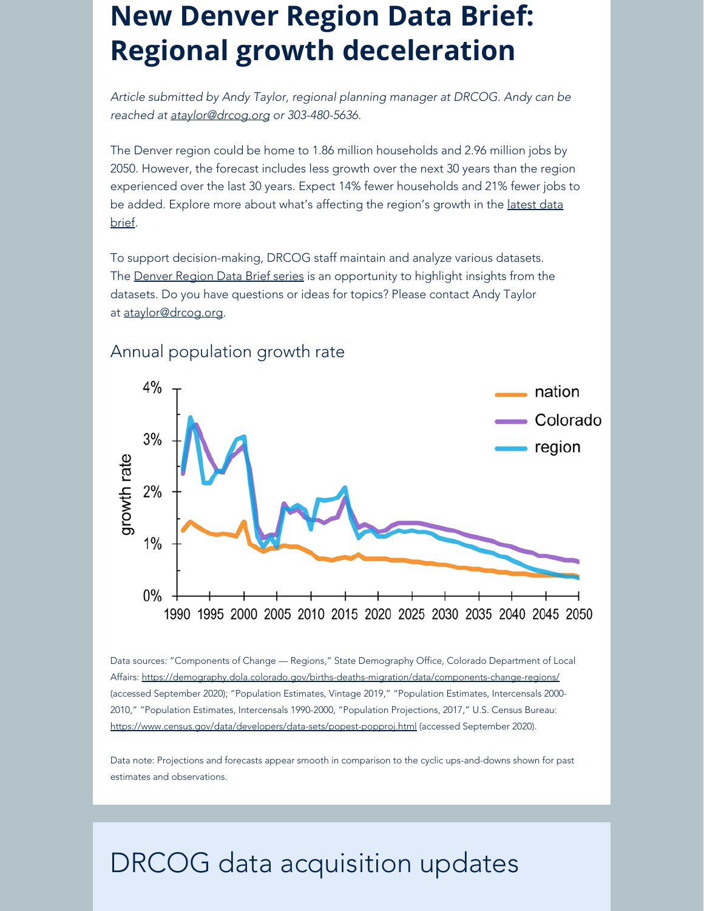## **New Denver Region Data Brief: Regional growth deceleration**

*Article submitted by Andy Taylor, regional planning manager at DRCOG. Andy can be reached at [ataylor@drcog.org](mailto:ataylor@drcog.org) or 303-480-5636.*

The Denver region could be home to 1.86 million households and 2.96 million jobs by 2050. However, the forecast includes less growth over the next 30 years than the region experienced over the last 30 years. Expect 14% fewer households and 21% fewer jobs to be added. Explore more about what's affecting the region's growth in the [latest data](https://drcog.createsend1.com/t/d-l-ctkliky-l-u/) [brief](https://drcog.createsend1.com/t/d-l-ctkliky-l-u/).

To support decision-making, DRCOG staff maintain and analyze various datasets. The [Denver Region Data Brief series](https://drcog.createsend1.com/t/d-l-ctkliky-l-o/) is an opportunity to highlight insights from the datasets. Do you have questions or ideas for topics? Please contact Andy Taylor at [ataylor@drcog.org](mailto:ataylor@drcog.org).



#### Annual population growth rate

Data sources: "Components of Change — Regions," State Demography Office, Colorado Department of Local Affairs: [https://demography.dola.colorado.gov/births-deaths-migration/data/components-change-regions/](https://drcog.createsend1.com/t/d-l-ctkliky-l-b/) (accessed September 2020); "Population Estimates, Vintage 2019," "Population Estimates, Intercensals 2000- 2010," "Population Estimates, Intercensals 1990-2000, "Population Projections, 2017," U.S. Census Bureau: [https://www.census.gov/data/developers/data-sets/popest-popproj.html](https://drcog.createsend1.com/t/d-l-ctkliky-l-n/) (accessed September 2020).

Data note: Projections and forecasts appear smooth in comparison to the cyclic ups-and-downs shown for past estimates and observations.

### DRCOG data acquisition updates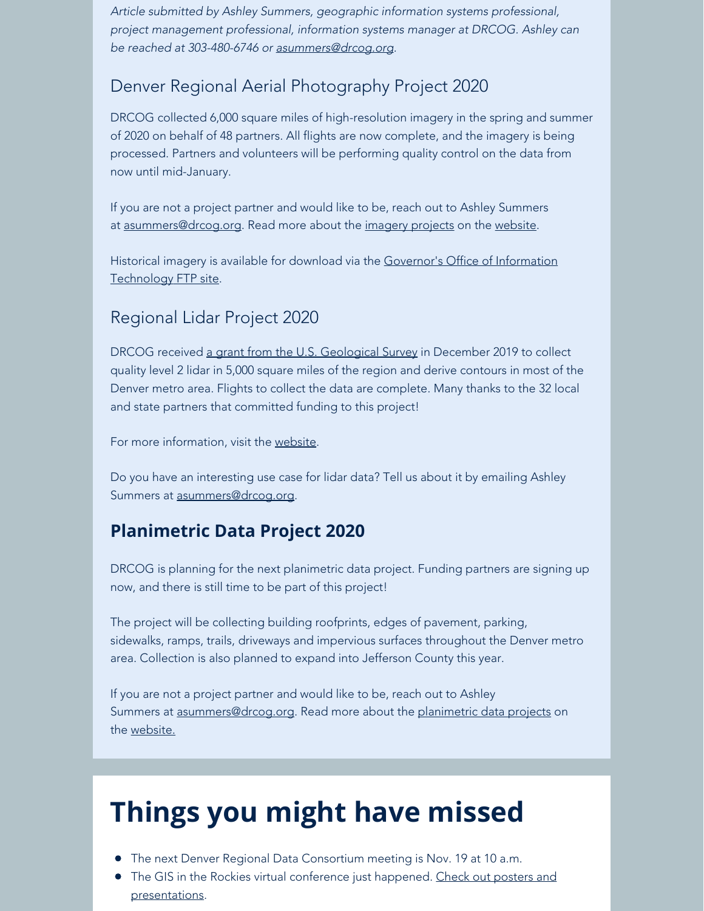*Article submitted by Ashley Summers, geographic information systems professional, project management professional, information systems manager at DRCOG. Ashley can be reached at 303-480-6746 or [asummers@drcog.org](mailto:asummers@drcog.org).*

### Denver Regional Aerial Photography Project 2020

DRCOG collected 6,000 square miles of high-resolution imagery in the spring and summer of 2020 on behalf of 48 partners. All flights are now complete, and the imagery is being processed. Partners and volunteers will be performing quality control on the data from now until mid-January.

If you are not a project partner and would like to be, reach out to Ashley Summers at [asummers@drcog.org](mailto:asummers@drcog.org). Read more about the [imagery projects](https://drcog.createsend1.com/t/d-l-ctkliky-l-m/) on the [website](https://drcog.createsend1.com/t/d-l-ctkliky-l-c/).

Historical imagery is available for download via the [Governor's Office of Information](https://drcog.createsend1.com/t/d-l-ctkliky-l-q/) [Technology](https://drcog.createsend1.com/t/d-l-ctkliky-l-q/) [FTP site](https://drcog.createsend1.com/t/d-l-ctkliky-l-a/).

#### Regional Lidar Project 2020

DRCOG received [a grant from the U.S. Geological Survey](https://drcog.createsend1.com/t/d-l-ctkliky-l-z/) in December 2019 to collect quality level 2 lidar in 5,000 square miles of the region and derive contours in most of the Denver metro area. Flights to collect the data are complete. Many thanks to the 32 local and state partners that committed funding to this project!

For more information, visit the [website](https://drcog.createsend1.com/t/d-l-ctkliky-l-v/).

Do you have an interesting use case for lidar data? Tell us about it by emailing Ashley Summers at [asummers@drcog.org](mailto:asummers@drcog.org).

### **Planimetric Data Project 2020**

DRCOG is planning for the next planimetric data project. Funding partners are signing up now, and there is still time to be part of this project!

The project will be collecting building roofprints, edges of pavement, parking, sidewalks, ramps, trails, driveways and impervious surfaces throughout the Denver metro area. Collection is also planned to expand into Jefferson County this year.

If you are not a project partner and would like to be, reach out to Ashley Summers at [asummers@drcog.org](mailto:asummers@drcog.org). Read more about the [planimetric data projects](https://drcog.createsend1.com/t/d-l-ctkliky-l-e/) on the [website.](https://drcog.createsend1.com/t/d-l-ctkliky-l-s/)

# **Things you might have missed**

- The next Denver Regional Data Consortium meeting is Nov. 19 at 10 a.m.
- The GIS in the Rockies virtual conference just happened. [Check out posters and](https://drcog.createsend1.com/t/d-l-ctkliky-l-g/) [presentations](https://drcog.createsend1.com/t/d-l-ctkliky-l-g/).